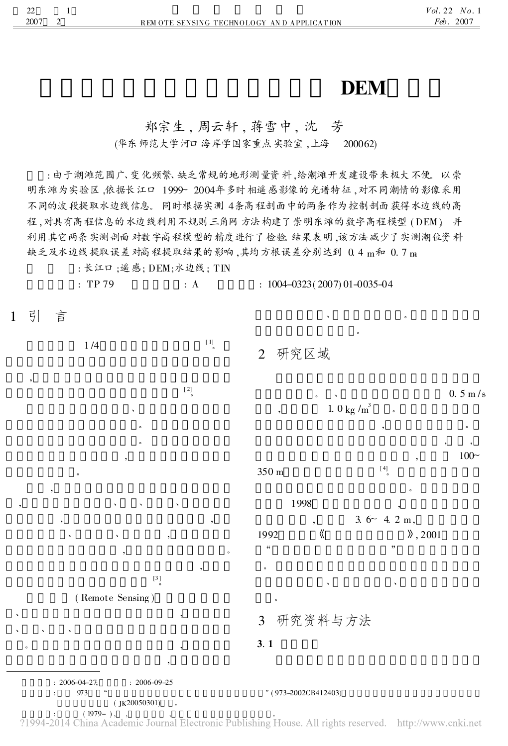# **DEM**

 $\bullet$ 。

### 郑宗生, 周云轩, 蒋雪中, 沈 芳

(华东师范大学河口海岸学国家重点实验室 ,上海 200062)

: 由于潮滩范围广、变化频繁、缺乏常规的地形测量资料 ,给潮滩开发建设带来极大不便。 以崇 明东滩为实验区 ,依据长江口 1999~ 2004年多时相遥感影像的光谱特征 ,对不同潮情的影像采用 不同的波段提取水边线信息。 同时根据实测 4条高程剖面中的两条作为控制剖面获得水边线的高 程 ,对具有高程信息的水边线利用不规则三角网方法构建了崇明东滩的数字高程模型 ( DEM )。 并 利用其它两条实测剖面对数字高程模型的精度进行了检验。结果表明 ,该方法减少了实测潮位资料 缺乏及水边线提取误差对高程提取结果的影响,其均方根误差分别达到 0.4 m和 0.7 m

: 长江口;遥感; DEM;水边线; TIN

: TP 79 : A :  $1004-0323(2007)01-0035-04$ 

 $\left[ \begin{array}{c} 1 \\ \end{array} \right]$ 

1 引 言

,

1 /4

2 研究区域

 $: 2006 - 04 - 27$ ;  $: 2006 - 09 - 25$ 973 " (973-2002CB412403)  $($  JK20050301)  $\left[\right.2\right]$ 、 。 。 , 。 , , where  $\mathbf{v}$  is the set of  $\mathbf{v}$ , , 、 、 , , where  $\sim$  , we have  $\sim$ ,  $\left[ 3 \right]$ ( Remote Sensing )  $\mathbf{v}$  , and the contract of  $\mathbf{v}$  , and  $\mathbf{v}$ 、 、 、 , where  $\alpha$  , we have the contract of  $\alpha$ ,  $0.5 \text{ m/s}$ 1. 0 kg / $m^3$ <sup>3</sup> 。 , where  $\overline{\phantom{a}}$ , ,  $100~$ 350 m  $[4]$ 。 1998 ,  $3.6 - 4.2$  m. 1992 **(** ), 2001  $\alpha$  " 。 、 、 。 3 研究资料与方法 3. 1

(1979-),<br>2014 China Academic Journal Electronic Publishing House. All rights reserved. http://www.cnki.net?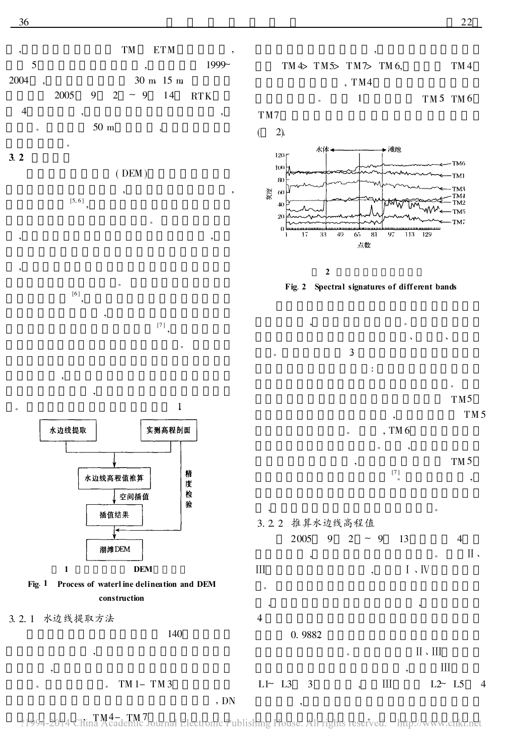, TM ETM , 5 , 1999~ 2004 , 30 m 15 m 2005 9 2 ~ 9 14 RTK 4 , , 。 50 m , 。

## 3. 2

( DEM ) , ,  $\left[5,6\right]$ , 。









Fig. 1 Process of waterl ine delineation and DEM construction

,

3. 2. 1 水边线提取方法

,

,

 $TM1-TM3$ 



TM7



2

Fig. 2 Spectral signatures of diff erent bands



TM5



 $\rm II$  .  $\rm III$ 

 $\rm III$ 



0. 9882。

,

,  $\,$ 

 $L1$   $\sim$   $L3$  3,  $\qquad \qquad$  II  $L2$   $L5$  4

140

 $\frac{1}{2} \frac{1}{2} \frac{1}{2} \frac{1}{2} \frac{1}{2} \frac{1}{2} \frac{1}{2} \frac{1}{2} \frac{1}{2} \frac{1}{2} \frac{1}{2} \frac{1}{2} \frac{1}{2} \frac{1}{2} \frac{1}{2} \frac{1}{2} \frac{1}{2} \frac{1}{2} \frac{1}{2} \frac{1}{2} \frac{1}{2} \frac{1}{2} \frac{1}{2} \frac{1}{2} \frac{1}{2} \frac{1}{2} \frac{1}{2} \frac{1}{2} \frac{1}{2} \frac{1}{2} \frac{1}{2} \frac{$ 

。

4。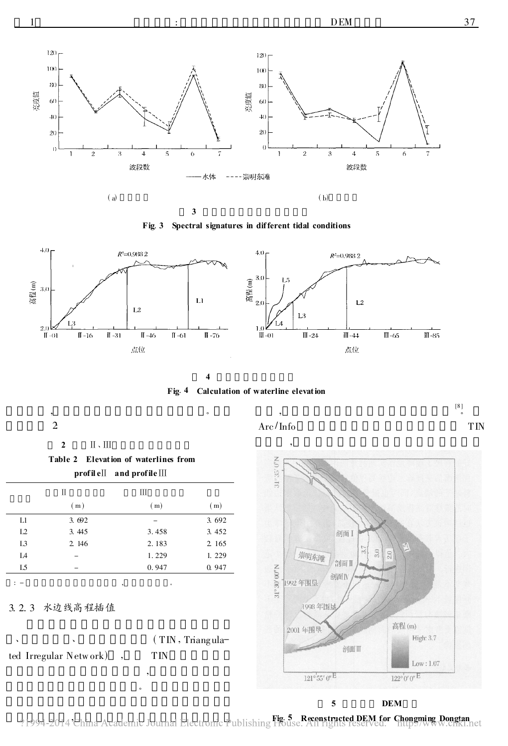





4





2 II . III

2:



3. 2. 3 水边线高程插值

ted Irregular Netw ork) , TIN

 $(TIN, Triangula-$ 

, 。



,



[8 ] 。



 $\sum_{i=1}^{n}$  and  $\sum_{i=1}^{n}$   $\sum_{i=1}^{n}$   $\sum_{i=1}^{n}$   $\sum_{i=1}^{n}$   $\sum_{i=1}^{n}$   $\sum_{i=1}^{n}$   $\sum_{i=1}^{n}$   $\sum_{i=1}^{n}$   $\sum_{i=1}^{n}$   $\sum_{i=1}^{n}$   $\sum_{i=1}^{n}$   $\sum_{i=1}^{n}$   $\sum_{i=1}^{n}$   $\sum_{i=1}^{n}$   $\sum_{i=1}^{n}$   $\sum_{i=1}^{$ hef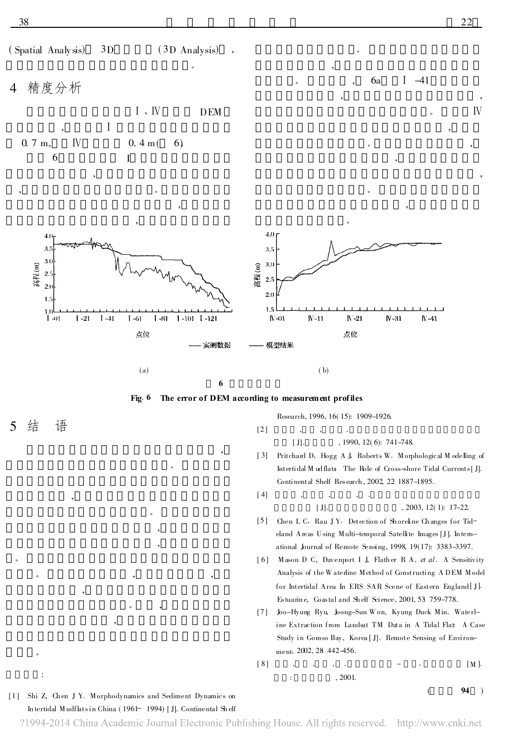( Spatial Analysis) 3D ( 3D Analysis)

。

,



Ⅰ 、Ⅳ DEM , Ⅰ 0. 7 m,  $W = 0.4 \text{ m}(-6)$  $\begin{array}{ccc} 6 & & \end{array}$  I

, , where  $\alpha$  is the contract of  $\alpha$ 



。

。 , , ,



 $[2]$ 

5 结 语

。

。

:

,

,

Research, 1996, 16( 15): 1909-1926.

[J].  $, 1990, 12(6)$ : 741-748.

[ 3] Prit chard D, Hogg A J, Roberts W. Morphological M odelling of Int ertidal M ud flats: The Role of Cross-shore Tidal Currents[ J]. Continent al Shelf Res earch, 2002, 22 1887-1895.

。

6a I -41

,

,

。

,

[ 4] , , , .

#### [J]. 2003, 12(1): 17-22.

 $($  94 )

- [5] Chen L C, Rau J Y. Detection of Shoreline Changes for Tideland Areas Using Multi-temporal Satellite Images [J]. In ternational Journal of Remote Sensing, 1998, 19(17): 3383-3397.
- [6] Mason D C, Davenport I J, Flather R A, et al. A Sensitivity Analysis of the Waterline Method of Constructing A DEM Model for Intertidal Area In ERS SAR Scene of Eastern England [J]. Estuarin e, Coastal and Sh elf Sci ence, 2001, 53: 759-778.
- [7 ] Joo-Hyung Ryu, Joong-Sun Won, Kyung Duck Min. Waterline Extraction from Landsat TM Data in A Tidal Flat: A Case Study in Gomso Bay, Korea [ J]. Remote Sensing of Environment, 2002, 28 442-456.

$$
[8] \qquad , \qquad , \qquad , \qquad - \qquad . \qquad [M].
$$
  
: \qquad , 2001.

[1] Shi Z, Chen J Y. Morphodynamics and Sediment Dynamics on In tertidal Mudflatsin China ( 1961~ 1994) [ J]. Continental Sh elf

。 , ,

,

 $\,$ ,

?1994-2014 China Academic Journal Electronic Publishing House. All rights reserved. http://www.cnki.net

, , 。 Ⅳ

,

,

 $\overline{\phantom{a}}$  , and the set of  $\overline{\phantom{a}}$  , and the set of  $\overline{\phantom{a}}$  , and the set of  $\overline{\phantom{a}}$